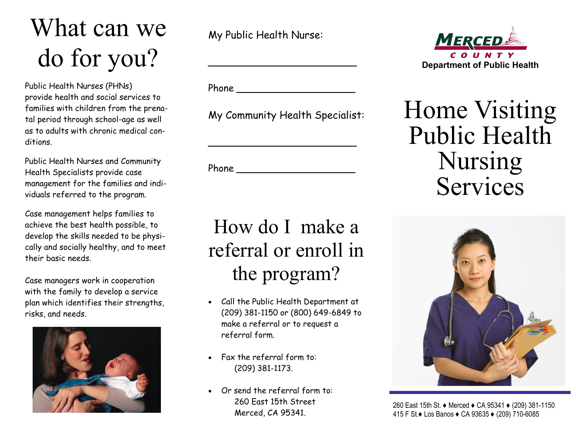# What can we do for you?

Public Health Nurses (PHNs) provide health and social services to families with children from the prenatal period through school-age as well as to adults with chronic medical conditions.

Public Health Nurses and Community Health Specialists provide case management for the families and individuals referred to the program.

Case management helps families to achieve the best health possible, to develop the skills needed to be physically and socially healthy, and to meet their basic needs.

Case managers work in cooperation with the family to develop a service plan which identifies their strengths, risks, and needs.



My Public Health Nurse:

Phone **\_\_\_\_\_\_\_\_\_\_\_\_\_\_\_\_\_\_\_\_**

My Community Health Specialist:

**\_\_\_\_\_\_\_\_\_\_\_\_\_\_\_\_\_\_\_\_\_\_\_\_\_** 

**\_\_\_\_\_\_\_\_\_\_\_\_\_\_\_\_\_\_\_\_**

**\_\_\_\_\_\_\_\_\_\_\_\_\_\_\_\_\_\_\_\_\_\_\_\_\_** 

Phone

### How do I make a referral or enroll in the program?

- Call the Public Health Department at (209) 381-1150 or (800) 649-6849 to make a referral or to request a referral form.
- Fax the referral form to: (209) 381-1173.
- Or send the referral form to: 260 East 15th Street Merced, CA 95341.



## Home Visiting Public Health Nursing Services



 260 East 15th St. ♦ Merced ♦ CA 95341 ♦ (209) 381-1150 415 F St.♦ Los Banos ♦ CA 93635 ♦ (209) 710-6085